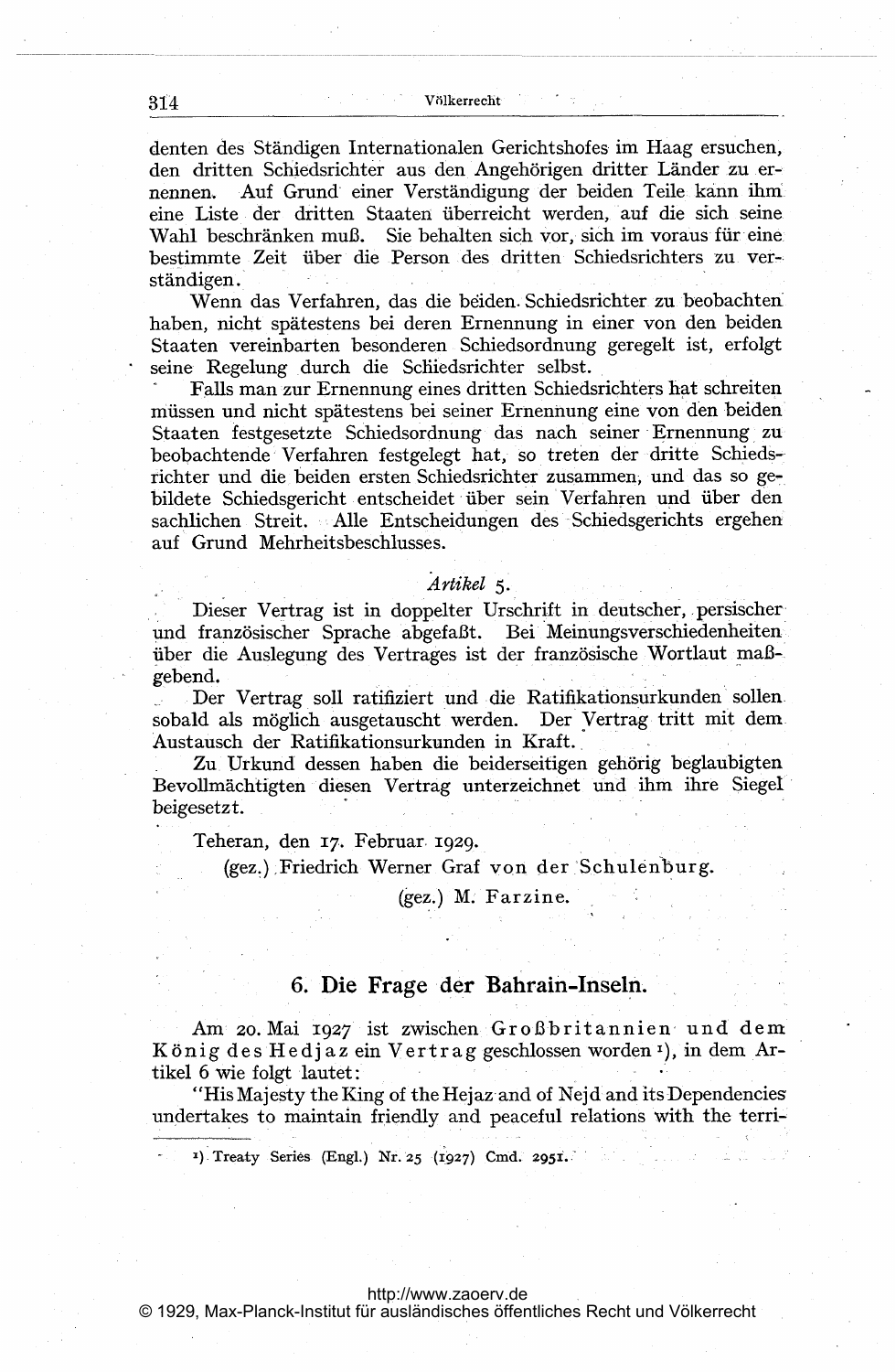denten des Ständigen Internationalen Gerichtshofes im Haag ersuchen, den dritten Schiedsrichter aus den Angehörigen dritter Länder zu ernennen. Auf Grund einer Verständigung der beiden Teile kann ihm eine Liste der dritten Staaten überreicht werden, auf die sich seine Wahl beschränken muß. Sie behalten sich vor, sich im voraus für eine bestimmte Zeit über die Person des dritten Schiedsrichters zu verständigen.

Wenn das Verfahren, das die beiden Schiedsrichter zu beobachten haben, nicht spätestens bei deren Ernennung in einer von den beiden Staaten vereinbarten besonderen Schiedsordnung geregelt ist, erfolgt seine Regelung durch die Schiedsrichter selbst.

Falls man zur Ernennung eines dritten Schiedsrichters hat schreiten müssen und nicht spätestens bei seiner Ernennung eine von den beiden Staaten festgesetzte Schiedsordnung das nach seiner Ernennung zu beobachtende Verfahren festgelegt hat, so treten der dritte Schiedsrichter und die beiden ersten Schiedsrichter zusammen, und das so gebildete Schiedsgericht entscheidet über sein Verfahren und über den sachlichen Streit. Alle Entscheidungen des Schiedsgerichts ergehen auf Grund Mehrheitsbeschlusses.

## Artikel 5.

Dieser Vertrag ist in doppelter Urschrift in deutscher, persischer und französischer Sprache abgefaßt. Bei Meinungsverschiedenheiten über die Auslegung des Vertrages ist der französische Wortlaut maßgebend.

Der Vertrag soll ratifiziert und die Ratifikationsurkunden sollen sobald als möglich ausgetauscht werden. Der Vertrag tritt mit dem Austausch der Ratifikationsurkunden in Kraft.

Zu Urkund dessen haben die beiderseitigen gehörig beglaubigten Bevollmächtigten diesen Vertrag unterzeichnet und ihm ihre Siegel beigesetzt.

Teheran, den 17. Februar 1929.

(gez.) Friedrich Werner Graf von der Schulenburg.

(gez.) M. Farzine.

# 6. Die Frage der Bahrain-Inseln.

Am 20. Mai 1927 ist zwischen Großbritannien und dem König des Hedjaz ein Vertrag geschlossen worden 1), in dem Artikel 6 wie folgt lautet:

"His Majesty the King of the Hejaz and of Nejd and its Dependencies" undertakes to maintain friendly and peaceful relations with the terri-

<sup>1</sup>) Treaty Series (Engl.) Nr. 25 (1927) Cmd. 2951.

http://www.zaoerv.de

© 1929, Max-Planck-Institut für ausländisches öffentliches Recht und Völkerrecht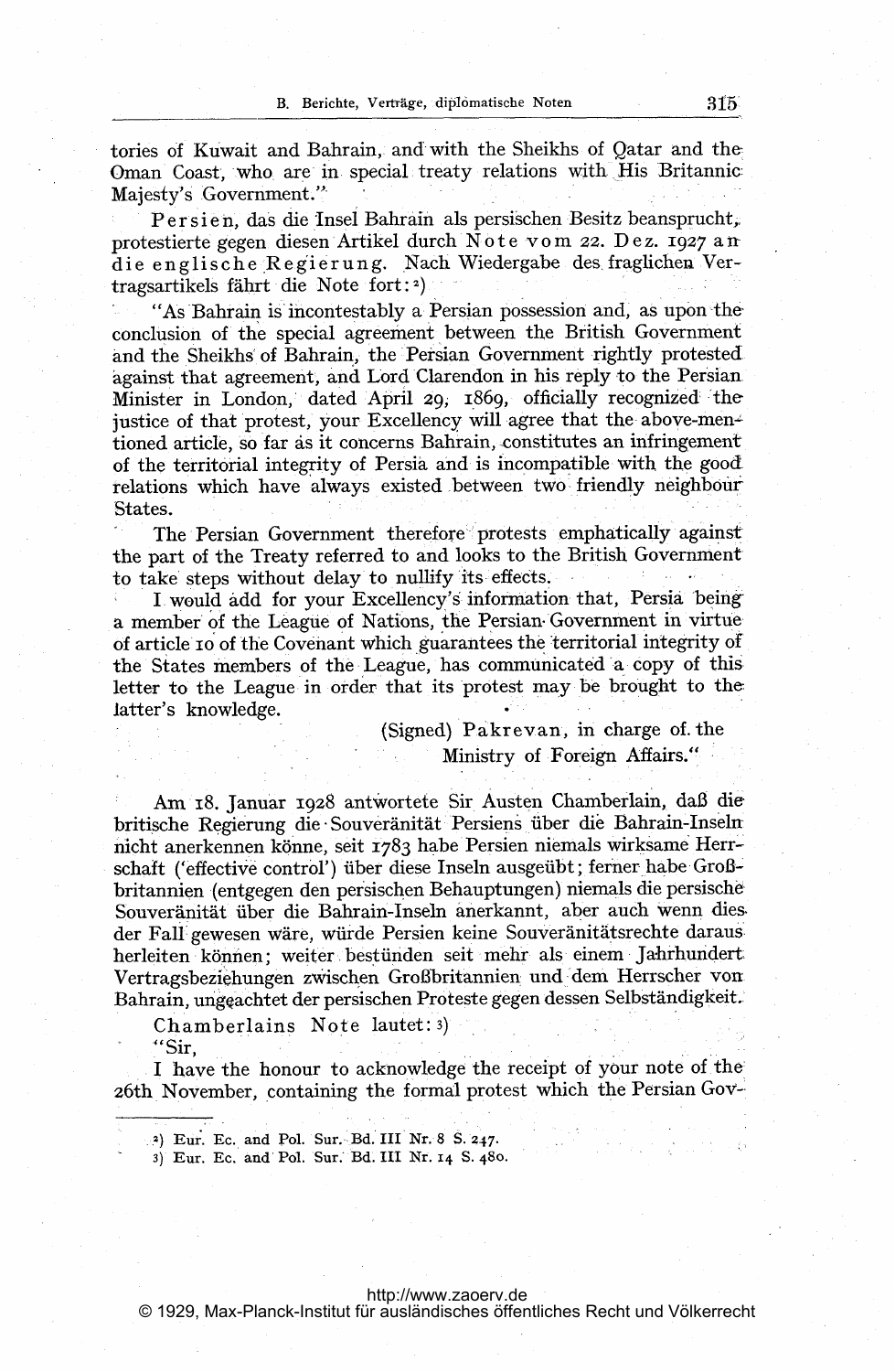tories of Kuwait and Bahrain, and with the Sheikhs of Qatar and the Oman Coast, who are in special treaty relations with His Britannic Majesty's Government."

Persien, das die Insel Bahrain als persischen Besitz beansprucht, protestierte gegen diesen Artikel durch Note vom 22. Dez. 1927 an die englische Regierung. Nach Wiedergabe des fraglichen Vertragsartikels fährt die Note fort: $2$ )

"As Bahrain is incontestably a Persian possession and, as upon the conclusion of the special agreement between the British Government and the Sheikhs of Bahrain, the Persian Government rightly protested against that agreement, and Lord Clarendon in his reply to the Persian Minister in London, dated April 29, 1869, officially recognized the justice of that protest, your Excellency will agree that the above-mentioned article, so far as it concerns Bahrain, constitutes an infringement of the territorial integrity of Persia and is incompatible with the good relations which have always existed between two friendly neighbour States.

The Persian Government therefore protests emphatically against the part of the Treaty referred to and looks to the British Government to take steps without delay to nullify its effects.

I would add for your Excellency's information that, Persia being a member of the League of Nations, the Persian Government in virtue of article to of the Covenant which guarantees the territorial integrity of the States members of the League, has communicated a copy of this letter to the League in order that its protest may be brought to the latter's knowledge.

> (Signed) Pakrevan, in charge of the Ministry of Foreign Affairs."

Am 18. Januar 1928 antwortete Sir Austen Chamberlain, daß die britische Regierung die Souveränität Persiens über die Bahrain-Inseln nicht anerkennen könne, seit 1783 habe Persien niemals wirksame Herrschaft ('effective control') über diese Inseln ausgeübt; ferner habe Großbritannien (entgegen den persischen Behauptungen) niemals die persische Souveränität über die Bahrain-Inseln anerkannt, aber auch wenn dies der Fall gewesen wäre, würde Persien keine Souveränitätsrechte daraus herleiten können; weiter bestünden seit mehr als einem Jahrhundert Vertragsbeziehungen zwischen Großbritannien und dem Herrscher von Bahrain, ungeachtet der persischen Proteste gegen dessen Selbständigkeit.

Chamberlains Note lautet: 3)

"Sir.

I have the honour to acknowledge the receipt of your note of the 26th November, containing the formal protest which the Persian Gov-

<sup>2</sup>) Eur. Ec. and Pol. Sur. Bd. III Nr. 8 S. 247.

3) Eur. Ec. and Pol. Sur. Bd. III Nr. 14 S. 480.

### http://www.zaoerv.de

© 1929, Max-Planck-Institut für ausländisches öffentliches Recht und Völkerrecht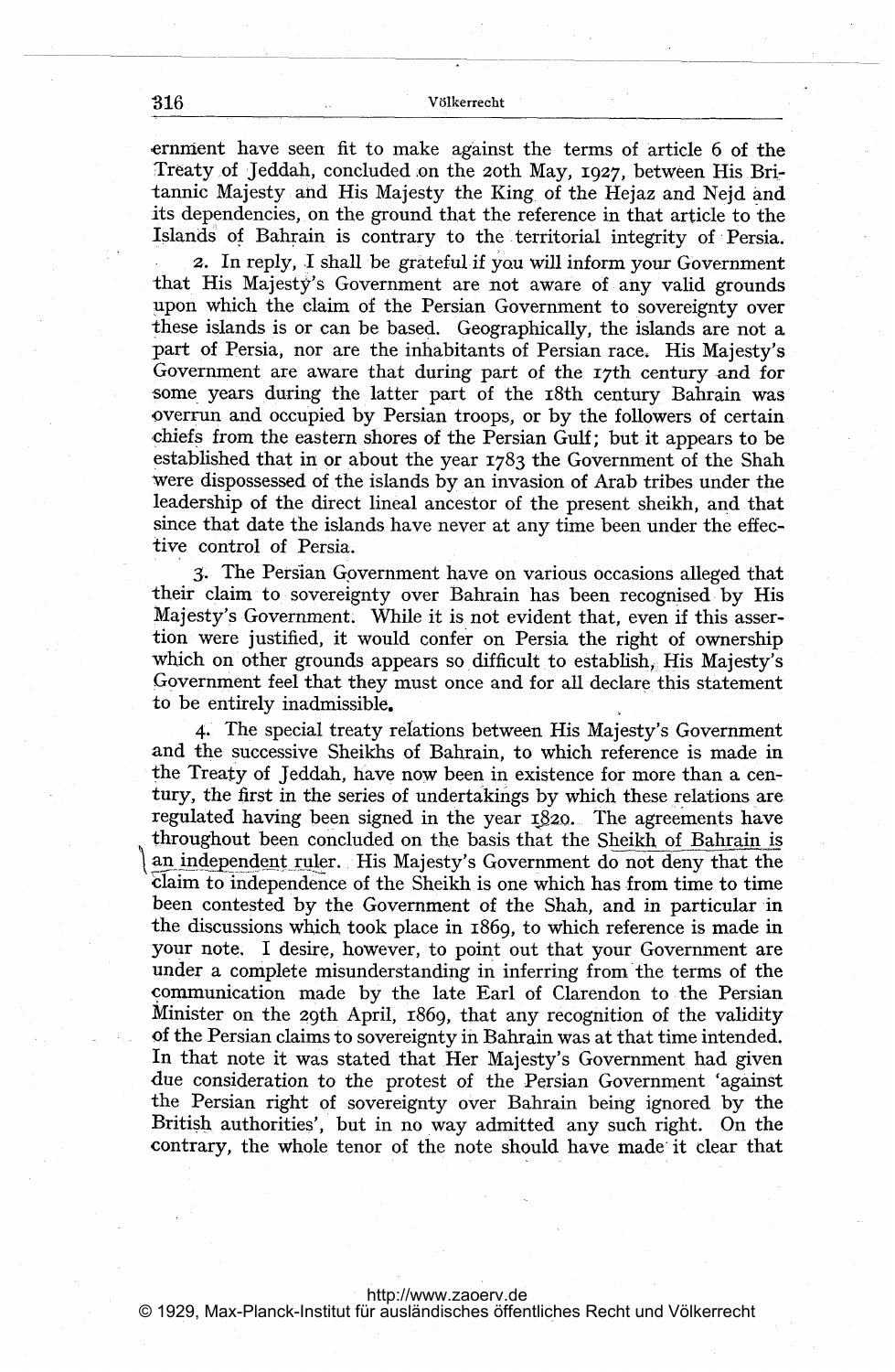#### B16 V61kerrecht

ernment have seen fit to make against the terms of article 6 of the Treaty of Jeddah, concluded on the zoth May, 1927, between His Britannic Majesty: and His Majesty the King. of the Hejaz and Nejd and its dependencies, on the ground that the reference in that article to the Islands of Bahrain is contrary to the territorial integrity of Persia.

2. In reply, I shall be grateful if you will inform your Government that. His Majesty's Government are not aware of any valid grounds upon which the claim of the Persian Government to sovereignty over these islands is or can be based. Geographically, the islands are not a part of Persia, nor are the inhabitants of Persian race. His Majesty's Government are aware that during part of the I7th century and for some years during the latter part of the 18th century Bahrain was -overrun and occupied by Persian troops, or by the followers of certain chiefs from the eastern shores of the Persian Gulf; but it appears to be established that in or about the year 1783 the Government of the Shah were dispossessed of the islands by an invasion of Arab tribes under the .leadership of the direct lineal ancestor of the present sheikh, and that since that date the islands have never at any time been under the effective control of Persia.

3. The Persian Government have on various occasions alleged that their claim to sovereignty over Bahrain has been recognised by His Majesty's Government. While it is not evident that, even if this assertion were justified, it would confer on Persia the right of ownership which on other grounds appears so difficult to establish, His Majesty's ,Government feel that they must once and for all declare this statement to be entirely inadmissible.

4. The special treaty relations between His Majesty's Government and the successive Sheikhs of Bahrain, to which reference is made in the Treaty of Jeddah, have now been in existence for more than a century, the first in the series of undertakings by which these relations are regulated having been signed in the year  $1820$ . The agreements have throughout been concluded on the basis that the Sheikh of Bahrain is an independent ruler. His Majesty's Government do not deny that the claim to independence of the Sheikh is one which has from time to time been contested by the Government of the Shah, and in particular in the discussions which. took place in 1869, to which reference is made in your note. <sup>I</sup> desire, however, to point out that your Government are under a complete misunderstanding in inferring from the terms of the communication made by the late Earl of Clarendon to. the Persian Minister on the 29th April, 1869, that any recognition of the validity of the Persian claims to sovereignty in Bahrain was at that time intended. In that note it was stated that Her Majesty's Government had given due consideration to the protest of the Persian Government 'against the Persian right of sovereignty over Bahrain being ignored by the British authorities', but in no way admitted any such right. On the contrary, the whole tenor of the note should have made'it clear that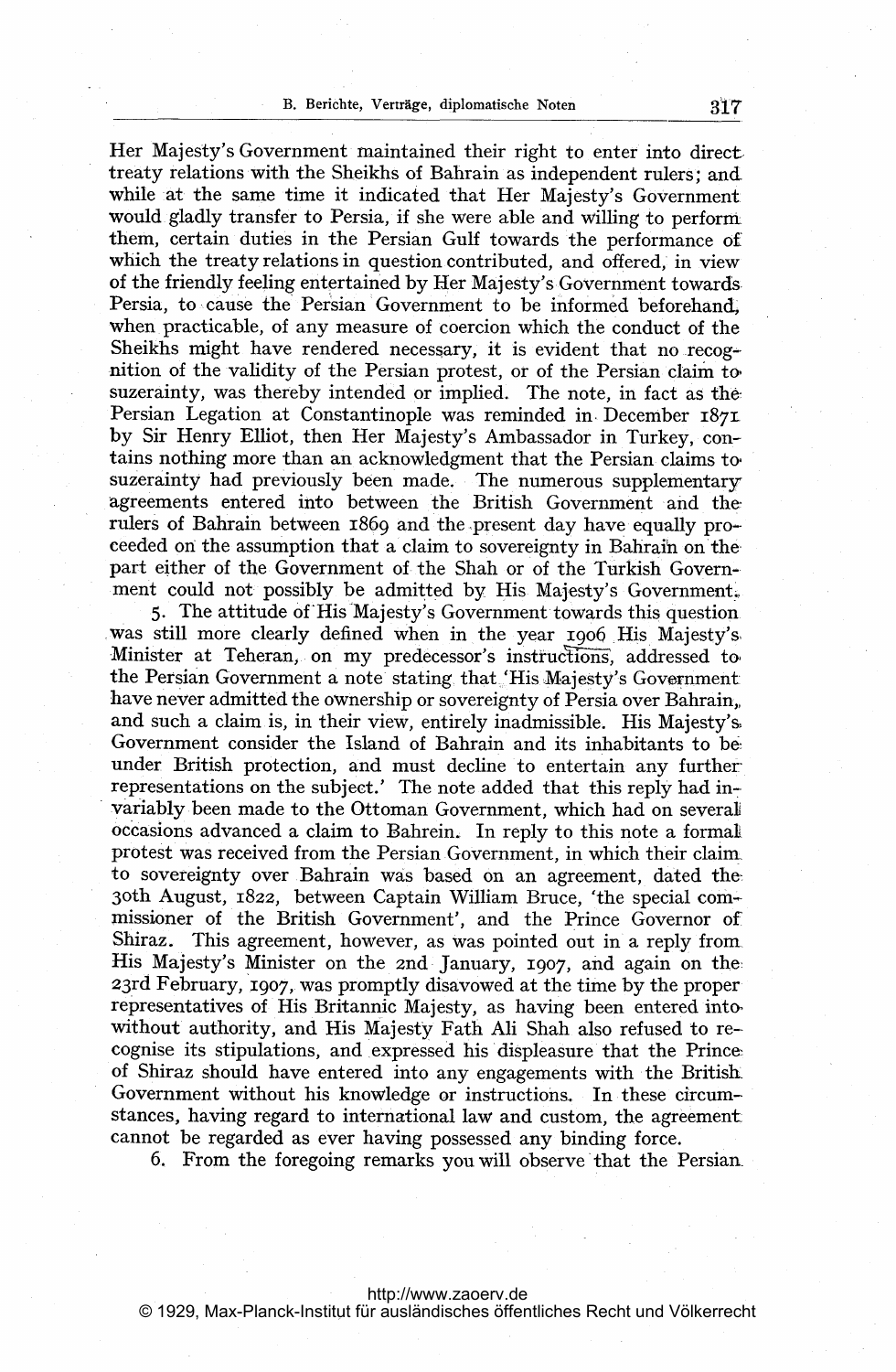Her Majesty's Government maintained their right to enter into direct treaty relations with the Sheikhs of Bahrain as independent rulers; andwhile at the same time it indicated that Her Majesty's Government would gladly transfer to Persia, if she were able and willing to perform. them, certain duties in the Persian Gulf towards the performance of which the treaty relations in question contributed, and offered, in view of the friendly feeling entertained by Her Majesty's Government towards. Persia, to cause the Persian Government to be informed beforehand, when practicable, of any measure of coercion which the conduct of the Sheikhs might have rendered necessary, it is evident that no recognition of the validity of the Persian protest, or of the Persian claim to, suzerainty, was thereby intended or implied. The note, in fact as the Persian Legation at Constantinople was reminded in December 1871 by Sir Henry Elliot, then Her Majesty's Ambassador in Turkey, contains nothing more than an acknowledgment that the Persian claims to suzerainty had previously been made. The numerous supplementary agreements entered into between the British Government and therulers of Bahrain between 1869 and the present day have equally proceeded on the assumption that a'claim to sovereignty in Bahrain on'the. part either of the Government of the Shah or of the Turkish Government could not possibly be admitted by His Majesty's Government,

5. The attitude of'His-Majesty;s Government towards this question was still more clearly defined when in the year 1906 His Majesty's Minister at Teheran, on my predecessor's instructions, addressed to the Persian Government a note stating that. His Majesty's Government have never admitted the ownership or sovereignty of Persia over Bahrain,, and such a claim is, in their view, entirely inadmissible. His Majesty's, Government consider the Island of Bahrain and its inhabitants to be under British protection, and must decline to entertain any furtherrepresentations on the subject.' The note added that this reply had invariably been made to the Ottoman Government, which had on several occasions advanced a claim to Bahrein. In reply to this note a formal protest was received from the Persian Government, in which their claimto sovereignty over Bahrain was based on an agreement, dated the, 3oth August, 1822, between Captain William Bruce, 'the special commissioner of the British Government'. and the Prince Governor of Shiraz. This agreement, however, as was pointed out in a reply from. His Majesty's Minister on the 2nd January, 1907, and again on the 23rd February, 1907, was promptly disavowed at the time by the proper representatives of His Britannic Majesty, as having been entered into without authority, and His Majesty Fath Ali Shah also refused to recognise its stipulations, and,expressed his displeasure that the Prince, of Shiraz should have entered into any engagements with the Britisli Government without his knowledge or instructions. In these circum stances. having regard to international law and custom, the agreement cannot be regarded as ever having possessed any binding force.

6. From the foregoing remarks you will observe'that the Persian-